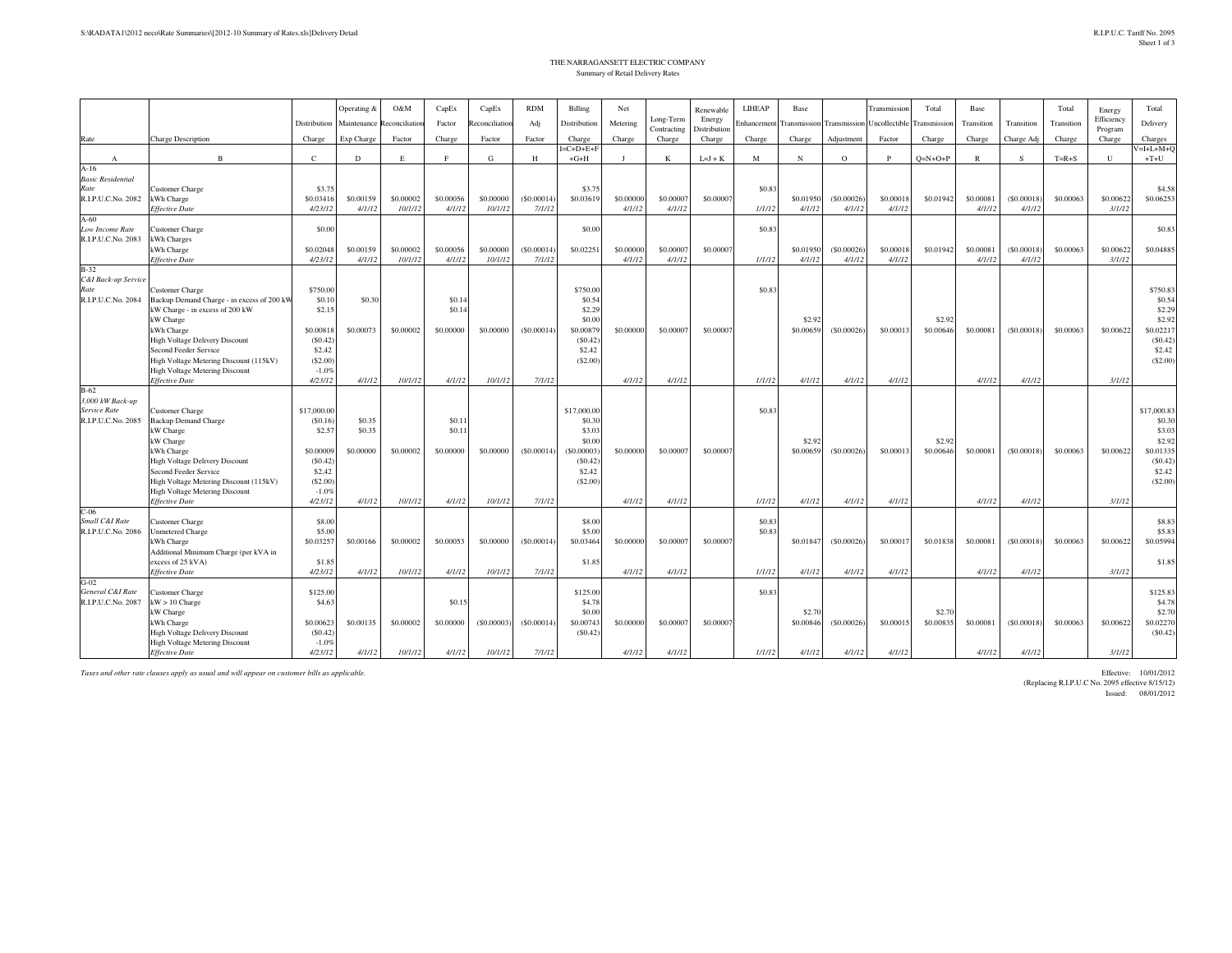## THE NARRAGANSETT ELECTRIC COMPANYSummary of Retail Delivery Rates

|                             |                                            |                   | Operating &                | O&M       | CapEx          | CapEx          | <b>RDM</b> | Billing               | Net            |              | Renewable    | LIHEAP      | Base      |            | Transmission                                   | Total        | Base         |            | Total      | Energy       | Total                 |
|-----------------------------|--------------------------------------------|-------------------|----------------------------|-----------|----------------|----------------|------------|-----------------------|----------------|--------------|--------------|-------------|-----------|------------|------------------------------------------------|--------------|--------------|------------|------------|--------------|-----------------------|
|                             |                                            | Distribution      | Maintenance Reconciliation |           | Factor         | Reconciliation | Adj        | Distribution          | Metering       | Long-Term    | Energy       | Enhancement |           |            | <b>Transmission</b> Transmission Uncollectible | Fransmission | Transition   | Transition | Transition | Efficiency   | Delivery              |
|                             |                                            |                   |                            |           |                |                |            |                       |                | Contracting  | Distribution |             |           |            |                                                |              |              |            |            | Program      |                       |
| Rate                        | <b>Charge Description</b>                  | Charge            | Exp Charge                 | Factor    | Charge         | Factor         | Factor     | Charge                | Charge         | Charge       | Charge       | Charge      | Charge    | Adjustment | Factor                                         | Charge       | Charge       | Charge Adj | Charge     | Charge       | Charges               |
|                             | B                                          | $\mathbb{C}$      | D                          | E         | F              | G              | H          | $I=C+D+E+F$<br>$+G+H$ | $\blacksquare$ | $\mathbf{K}$ |              | M           | N         | $\circ$    | P                                              |              | $\mathbb{R}$ | -S         | $T=R+S$    | $\mathbf{U}$ | $V=I+L+M+O$<br>$+T+U$ |
| $\mathbf{A}$<br>$A-16$      |                                            |                   |                            |           |                |                |            |                       |                |              | $L=J+K$      |             |           |            |                                                | $Q=N+O+P$    |              |            |            |              |                       |
| <b>Basic Residential</b>    |                                            |                   |                            |           |                |                |            |                       |                |              |              |             |           |            |                                                |              |              |            |            |              |                       |
| Rate                        | Customer Charge                            | \$3.7             |                            |           |                |                |            | \$3.75                |                |              |              | \$0.83      |           |            |                                                |              |              |            |            |              | \$4.58                |
| R.I.P.U.C.No. 2082          | Wh Charge                                  | \$0.0341          | \$0.00159                  | \$0,00002 | \$0,00056      | \$0,00000      | (S0.00014) | \$0.03619             | \$0.00000      | \$0,00007    | \$0,00007    |             | \$0.01950 | (S0.00026) | \$0,0001                                       | \$0.01942    | \$0,0008     | (S0.00018) | \$0,00063  | \$0.00622    | \$0.06253             |
|                             | <b>Effective Date</b>                      | 4/23/12           | 4/1/12                     | 10/1/12   | 4/1/12         | 10/1/12        | 7/1/12     |                       | 4/1/12         | 4/1/12       |              | 1/1/12      | 4/1/12    | 4/1/12     | 4/1/12                                         |              | 4/1/12       | 4/1/12     |            | 3/1/12       |                       |
| $A-60$                      |                                            |                   |                            |           |                |                |            |                       |                |              |              |             |           |            |                                                |              |              |            |            |              |                       |
| Low Income Rate             | Customer Charge                            | \$0.00            |                            |           |                |                |            | \$0.00                |                |              |              | \$0.83      |           |            |                                                |              |              |            |            |              | \$0.83                |
| R.I.P.U.C.No. 2083          | Wh Charges                                 |                   |                            |           |                |                |            |                       |                |              |              |             |           |            |                                                |              |              |            |            |              |                       |
|                             | kWh Charge                                 | \$0.02048         | \$0,00159                  | \$0,00002 | \$0,00056      | \$0,00000      | (S0.00014) | \$0.02251             | \$0,00000      | \$0,00007    | \$0,00007    |             | \$0.01950 | (S0,00026) | \$0,00018                                      | \$0.01942    | \$0,00081    | (S0,00018) | \$0,00063  | \$0,00622    | \$0,04885             |
|                             | <b>Effective Date</b>                      | 4/23/12           | 4/1/12                     | 10/1/12   | 4/1/12         | 10/1/12        | 7/1/12     |                       | 4/1/12         | 4/1/12       |              | 1/1/12      | 4/1/12    | 4/1/12     | 4/1/12                                         |              | 4/1/12       | 4/1/12     |            | 3/1/12       |                       |
| $B-32$                      |                                            |                   |                            |           |                |                |            |                       |                |              |              |             |           |            |                                                |              |              |            |            |              |                       |
| C&I Back-up Service<br>Rate | Customer Charge                            | \$750.00          |                            |           |                |                |            | \$750.00              |                |              |              | \$0.83      |           |            |                                                |              |              |            |            |              | \$750.83              |
| R.I.P.U.C.No. 2084          | Backup Demand Charge - in excess of 200 kW | \$0.10            | \$0.30                     |           | \$0.1          |                |            | \$0.54                |                |              |              |             |           |            |                                                |              |              |            |            |              | \$0.54                |
|                             | kW Charge - in excess of 200 kW            | \$2.15            |                            |           | \$0.14         |                |            | \$2.29                |                |              |              |             |           |            |                                                |              |              |            |            |              | \$2.29                |
|                             | kW Charge                                  |                   |                            |           |                |                |            | \$0.00                |                |              |              |             | \$2.92    |            |                                                | \$2.92       |              |            |            |              | \$2.92                |
|                             | kWh Charge                                 | \$0.00818         | \$0.00073                  | \$0,00002 | \$0.00000      | \$0.00000      | (S0.00014) | \$0.0087              | \$0,00000      | \$0.0000     | \$0,00007    |             | \$0.00659 | (S0.00026) | \$0.00013                                      | \$0.00646    | \$0.00081    | (S0.00018) | \$0.00063  | \$0.00622    | \$0.02217             |
|                             | High Voltage Delivery Discount             | (S0.42)           |                            |           |                |                |            | (S0.42)               |                |              |              |             |           |            |                                                |              |              |            |            |              | (S0.42)               |
|                             | Second Feeder Service                      | \$2.42            |                            |           |                |                |            | \$2.42                |                |              |              |             |           |            |                                                |              |              |            |            |              | \$2.42                |
|                             | High Voltage Metering Discount (115kV)     | (S2.00)           |                            |           |                |                |            | (S2.00)               |                |              |              |             |           |            |                                                |              |              |            |            |              | (S2.00)               |
|                             | <b>High Voltage Metering Discount</b>      | $-1.09$           |                            |           |                |                |            |                       |                |              |              |             |           |            |                                                |              |              |            |            |              |                       |
|                             | <b>Effective Date</b>                      | 4/23/12           | 4/1/12                     | 10/1/12   | 4/1/12         | 10/1/12        | 7/1/12     |                       | 4/1/12         | 4/1/12       |              | 1/1/12      | 4/1/12    | 4/1/12     | 4/1/12                                         |              | 4/1/12       | 4/1/12     |            | 3/1/12       |                       |
| $B-62$                      |                                            |                   |                            |           |                |                |            |                       |                |              |              |             |           |            |                                                |              |              |            |            |              |                       |
| 3,000 kW Back-up            |                                            |                   |                            |           |                |                |            |                       |                |              |              |             |           |            |                                                |              |              |            |            |              |                       |
| Service Rate                | <b>Customer Charge</b>                     | \$17,000.00       |                            |           |                |                |            | \$17,000.00           |                |              |              | \$0.83      |           |            |                                                |              |              |            |            |              | \$17,000.83           |
| R.I.P.U.C.No. 2085          | <b>Backup Demand Charge</b><br>kW Charge   | (S0.16)<br>\$2.5' | \$0.35<br>\$0.35           |           | \$0.1<br>\$0.1 |                |            | \$0.30<br>\$3.03      |                |              |              |             |           |            |                                                |              |              |            |            |              | \$0.30<br>\$3.03      |
|                             | kW Charge                                  |                   |                            |           |                |                |            | \$0.00                |                |              |              |             | \$2.92    |            |                                                | \$2.92       |              |            |            |              | \$2.92                |
|                             | kWh Charge                                 | \$0,00009         | \$0,00000                  | \$0,00002 | \$0,00000      | \$0,00000      | (S0,00014) | (S0.00003)            | \$0,00000      | \$0,00007    | \$0,00007    |             | \$0,00659 | (S0.00026) | \$0,00013                                      | \$0,00646    | \$0,00081    | (S0,00018) | \$0,00063  | \$0,00622    | \$0.01335             |
|                             | <b>High Voltage Delivery Discount</b>      | (S0.42)           |                            |           |                |                |            | (S0.42)               |                |              |              |             |           |            |                                                |              |              |            |            |              | (S0.42)               |
|                             | Second Feeder Service                      | \$2.42            |                            |           |                |                |            | \$2.42                |                |              |              |             |           |            |                                                |              |              |            |            |              | \$2.42                |
|                             | High Voltage Metering Discount (115kV)     | (S2.00)           |                            |           |                |                |            | (S2.00)               |                |              |              |             |           |            |                                                |              |              |            |            |              | (S2.00)               |
|                             | High Voltage Metering Discount             | $-1.0%$           |                            |           |                |                |            |                       |                |              |              |             |           |            |                                                |              |              |            |            |              |                       |
|                             | <b>Effective Date</b>                      | 4/23/12           | 4/1/12                     | 10/1/12   | 4/1/12         | 10/1/12        | 7/1/12     |                       | 4/1/12         | 4/1/12       |              | 1/1/12      | 4/1/12    | 4/1/12     | 4/1/12                                         |              | 4/1/12       | 4/1/12     |            | 3/1/12       |                       |
| $C-06$                      |                                            |                   |                            |           |                |                |            |                       |                |              |              |             |           |            |                                                |              |              |            |            |              |                       |
| Small C&I Rate              | Customer Charge                            | \$8.00            |                            |           |                |                |            | \$8.00                |                |              |              | \$0.83      |           |            |                                                |              |              |            |            |              | \$8.83                |
| R.I.P.U.C.No. 2086          | Jnmetered Charge                           | \$5.00            |                            |           |                |                |            | \$5.00                |                |              |              | \$0.83      |           |            |                                                |              |              |            |            |              | \$5.83                |
|                             | kWh Charge                                 | \$0.03257         | \$0.00166                  | \$0,00002 | \$0,00053      | \$0,00000      | (S0.00014) | \$0.03464             | \$0,00000      | \$0,00007    | \$0,00007    |             | \$0.01847 | (S0.00026) | \$0,0001                                       | \$0.01838    | \$0,0008     | (S0.00018) | \$0,00063  | \$0,00622    | \$0.05994             |
|                             | Additional Minimum Charge (per kVA in      |                   |                            |           |                |                |            | \$1.85                |                |              |              |             |           |            |                                                |              |              |            |            |              | \$1.85                |
|                             | excess of 25 kVA)<br><b>Effective Date</b> | \$1.85<br>4/23/12 | 4/1/12                     | 10/1/12   | 4/1/12         | 10/1/12        | 7/1/12     |                       | 4/1/12         | 4/1/12       |              | 1/1/12      | 4/1/12    | 4/1/12     | 4/1/12                                         |              | 4/1/12       | 4/1/12     |            | 3/1/12       |                       |
| $G-02$                      |                                            |                   |                            |           |                |                |            |                       |                |              |              |             |           |            |                                                |              |              |            |            |              |                       |
| General C&I Rate            | Customer Charge                            | \$125.00          |                            |           |                |                |            | \$125.00              |                |              |              | \$0.83      |           |            |                                                |              |              |            |            |              | \$125.83              |
| R.I.P.U.C.No. 2087          | $kW > 10$ Charge                           | \$4.63            |                            |           | \$0.1          |                |            | \$4.78                |                |              |              |             |           |            |                                                |              |              |            |            |              | \$4.78                |
|                             | kW Charge                                  |                   |                            |           |                |                |            | \$0.00                |                |              |              |             | \$2.70    |            |                                                | \$2.70       |              |            |            |              | \$2.70                |
|                             | kWh Charge                                 | \$0.00623         | \$0.00135                  | \$0.00002 | \$0.00000      | (S0.00003)     | (S0.00014) | \$0.00743             | \$0.00000      | \$0.0000     | \$0.00007    |             | \$0.00846 | (S0.00026) | \$0.00015                                      | \$0.00835    | \$0.00081    | (S0.00018) | \$0.00063  | \$0.00622    | \$0.02270             |
|                             | <b>High Voltage Delivery Discount</b>      | (S0.42)           |                            |           |                |                |            | (S0.42)               |                |              |              |             |           |            |                                                |              |              |            |            |              | (S0.42)               |
|                             | High Voltage Metering Discount             | $-1.0%$           |                            |           |                |                |            |                       |                |              |              |             |           |            |                                                |              |              |            |            |              |                       |
|                             | <b>Effective Date</b>                      | 4/23/12           | 4/1/12                     | 10/1/12   | 4/1/12         | 10/1/12        | 7/1/12     |                       | 4/1/12         | 4/1/12       |              | 1/1/12      | 4/1/12    | 4/1/12     | 4/1/12                                         |              | 4/1/12       | 4/1/12     |            | 3/1/12       |                       |

*Taxes and other rate clauses apply as usual and will appear on customer bills as applicable.*

Effective: 10/01/2012<br>(Replacing R.I.P.U.C No. 2005 effective: 8/15/12)<br>Issued: 08/01/2012